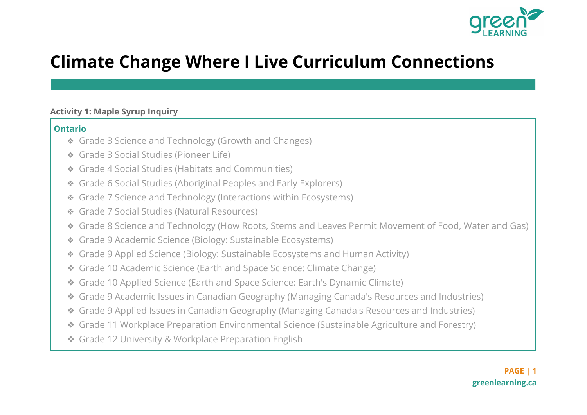

# **Climate Change Where I Live Curriculum Connections**

#### **Activity 1: Maple Syrup Inquiry**

- ❖ Grade 3 Science and Technology (Growth and Changes)
- ❖ Grade 3 Social Studies (Pioneer Life)
- ❖ Grade 4 Social Studies (Habitats and Communities)
- ❖ Grade 6 Social Studies (Aboriginal Peoples and Early Explorers)
- ❖ Grade 7 Science and Technology (Interactions within Ecosystems)
- ❖ Grade 7 Social Studies (Natural Resources)
- ❖ Grade 8 Science and Technology (How Roots, Stems and Leaves Permit Movement of Food, Water and Gas)
- ❖ Grade 9 Academic Science (Biology: Sustainable Ecosystems)
- ❖ Grade 9 Applied Science (Biology: Sustainable Ecosystems and Human Activity)
- ❖ Grade 10 Academic Science (Earth and Space Science: Climate Change)
- ❖ Grade 10 Applied Science (Earth and Space Science: Earth's Dynamic Climate)
- ❖ Grade 9 Academic Issues in Canadian Geography (Managing Canada's Resources and Industries)
- ❖ Grade 9 Applied Issues in Canadian Geography (Managing Canada's Resources and Industries)
- ❖ Grade 11 Workplace Preparation Environmental Science (Sustainable Agriculture and Forestry)
- ❖ Grade 12 University & Workplace Preparation English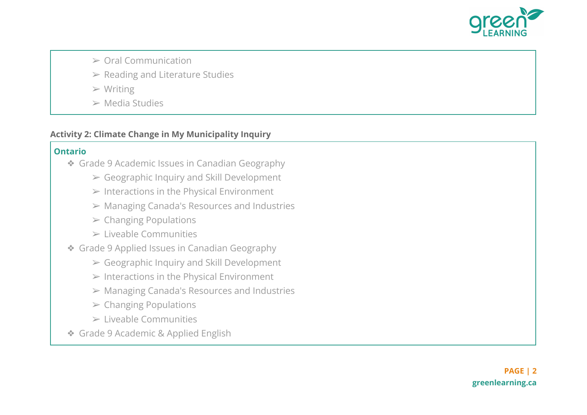

- ➢ Oral Communication
- $\triangleright$  Reading and Literature Studies
- $>$  Writing
- $\triangleright$  Media Studies

#### **Activity 2: Climate Change in My Municipality Inquiry**

- ❖ Grade 9 Academic Issues in Canadian Geography
	- $\triangleright$  Geographic Inquiry and Skill Development
	- $\triangleright$  Interactions in the Physical Environment
	- ➢ Managing Canada's Resources and Industries
	- $\triangleright$  Changing Populations
	- $\triangleright$  Liveable Communities
- ❖ Grade 9 Applied Issues in Canadian Geography
	- $\triangleright$  Geographic Inquiry and Skill Development
	- $\triangleright$  Interactions in the Physical Environment
	- ➢ Managing Canada's Resources and Industries
	- $\triangleright$  Changing Populations
	- ➢ Liveable Communities
- ❖ Grade 9 Academic & Applied English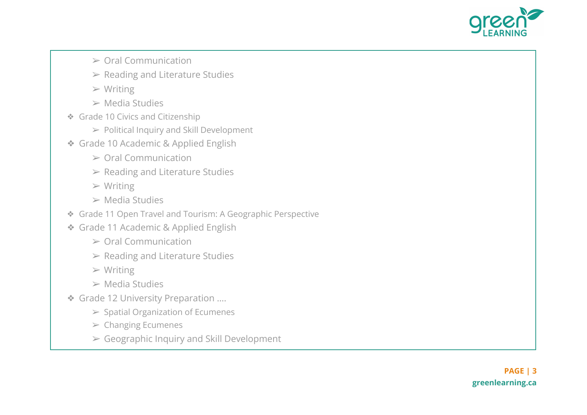

- $\geq$  Oral Communication
- $\triangleright$  Reading and Literature Studies
- $>$  Writing
- ➢ Media Studies
- ❖ Grade 10 Civics and Citizenship
	- ➢ Political Inquiry and Skill Development
- ❖ Grade 10 Academic & Applied English
	- ➢ Oral Communication
	- $\triangleright$  Reading and Literature Studies
	- $>$  Writing
	- ➢ Media Studies
- ❖ Grade 11 Open Travel and Tourism: A Geographic Perspective
- ❖ Grade 11 Academic & Applied English
	- $\geq$  Oral Communication
	- $\triangleright$  Reading and Literature Studies
	- $>$  Writing
	- $\triangleright$  Media Studies
- ❖ Grade 12 University Preparation ….
	- $\triangleright$  Spatial Organization of Ecumenes
	- $\triangleright$  Changing Ecumenes
	- $\triangleright$  Geographic Inquiry and Skill Development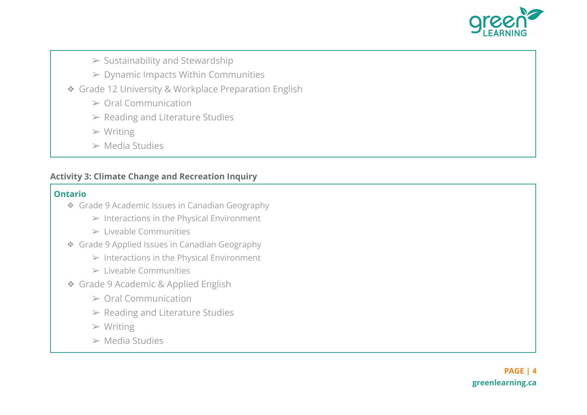

## $\triangleright$  Sustainability and Stewardship

- $\triangleright$  Dynamic Impacts Within Communities
- ❖ Grade 12 University & Workplace Preparation English
	- ➢ Oral Communication
	- $\triangleright$  Reading and Literature Studies
	- $>$  Writing
	- ➢ Media Studies

### **Activity 3: Climate Change and Recreation Inquiry**

- ❖ Grade 9 Academic Issues in Canadian Geography
	- $\triangleright$  Interactions in the Physical Environment
	- $\triangleright$  Liveable Communities
- ❖ Grade 9 Applied Issues in Canadian Geography
	- $\triangleright$  Interactions in the Physical Environment
	- $\triangleright$  Liveable Communities
- ❖ Grade 9 Academic & Applied English
	- $\geq$  Oral Communication
	- $\triangleright$  Reading and Literature Studies
	- $\triangleright$  Writing
	- $\triangleright$  Media Studies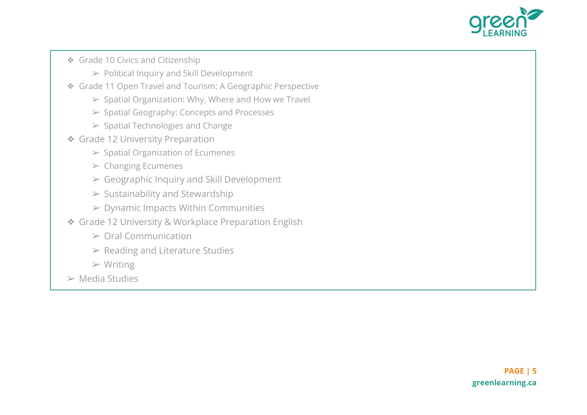

- ❖ Grade 10 Civics and Citizenship
	- $\triangleright$  Political Inquiry and Skill Development
- ❖ Grade 11 Open Travel and Tourism: A Geographic Perspective
	- $>$  Spatial Organization: Why, Where and How we Travel
	- ➢ Spatial Geography: Concepts and Processes
	- $\triangleright$  Spatial Technologies and Change
- ❖ Grade 12 University Preparation
	- $\triangleright$  Spatial Organization of Ecumenes
	- $\triangleright$  Changing Ecumenes
	- $\triangleright$  Geographic Inquiry and Skill Development
	- $\triangleright$  Sustainability and Stewardship
	- $\triangleright$  Dynamic Impacts Within Communities
- ❖ Grade 12 University & Workplace Preparation English
	- $\geq$  Oral Communication
	- $\triangleright$  Reading and Literature Studies
	- $>$  Writing
- $\triangleright$  Media Studies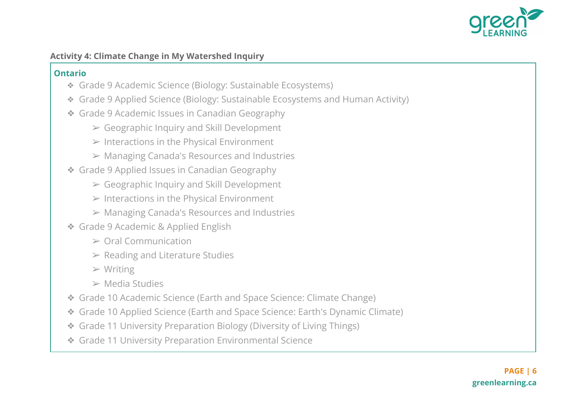

#### **Activity 4: Climate Change in My Watershed Inquiry**

- ❖ Grade 9 Academic Science (Biology: Sustainable Ecosystems)
- ❖ Grade 9 Applied Science (Biology: Sustainable Ecosystems and Human Activity)
- ❖ Grade 9 Academic Issues in Canadian Geography
	- $\triangleright$  Geographic Inquiry and Skill Development
	- $\triangleright$  Interactions in the Physical Environment
	- ➢ Managing Canada's Resources and Industries
- ❖ Grade 9 Applied Issues in Canadian Geography
	- $\triangleright$  Geographic Inquiry and Skill Development
	- $\triangleright$  Interactions in the Physical Environment
	- ➢ Managing Canada's Resources and Industries
- ❖ Grade 9 Academic & Applied English
	- $\geq$  Oral Communication
	- $\triangleright$  Reading and Literature Studies
	- $>$  Writing
	- $\triangleright$  Media Studies
- ❖ Grade 10 Academic Science (Earth and Space Science: Climate Change)
- ❖ Grade 10 Applied Science (Earth and Space Science: Earth's Dynamic Climate)
- ❖ Grade 11 University Preparation Biology (Diversity of Living Things)
- ❖ Grade 11 University Preparation Environmental Science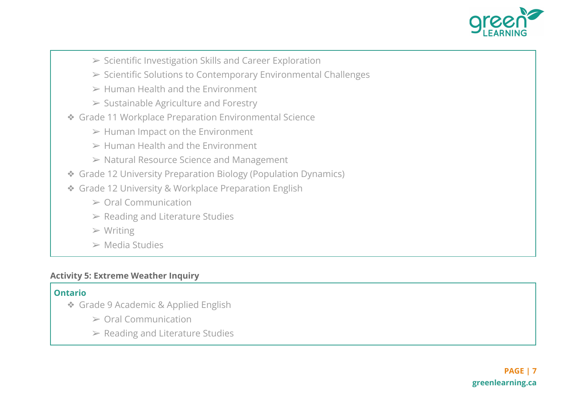

- ➢ Scientific Investigation Skills and Career Exploration
- ➢ Scientific Solutions to Contemporary Environmental Challenges
- $\triangleright$  Human Health and the Environment
- $\triangleright$  Sustainable Agriculture and Forestry
- ❖ Grade 11 Workplace Preparation Environmental Science
	- $\triangleright$  Human Impact on the Environment
	- $\triangleright$  Human Health and the Environment
	- ➢ Natural Resource Science and Management
- ❖ Grade 12 University Preparation Biology (Population Dynamics)
- ❖ Grade 12 University & Workplace Preparation English
	- ➢ Oral Communication
	- $\triangleright$  Reading and Literature Studies
	- $>$  Writing
	- $\triangleright$  Media Studies

#### **Activity 5: Extreme Weather Inquiry**

- ❖ Grade 9 Academic & Applied English
	- ➢ Oral Communication
	- $\triangleright$  Reading and Literature Studies